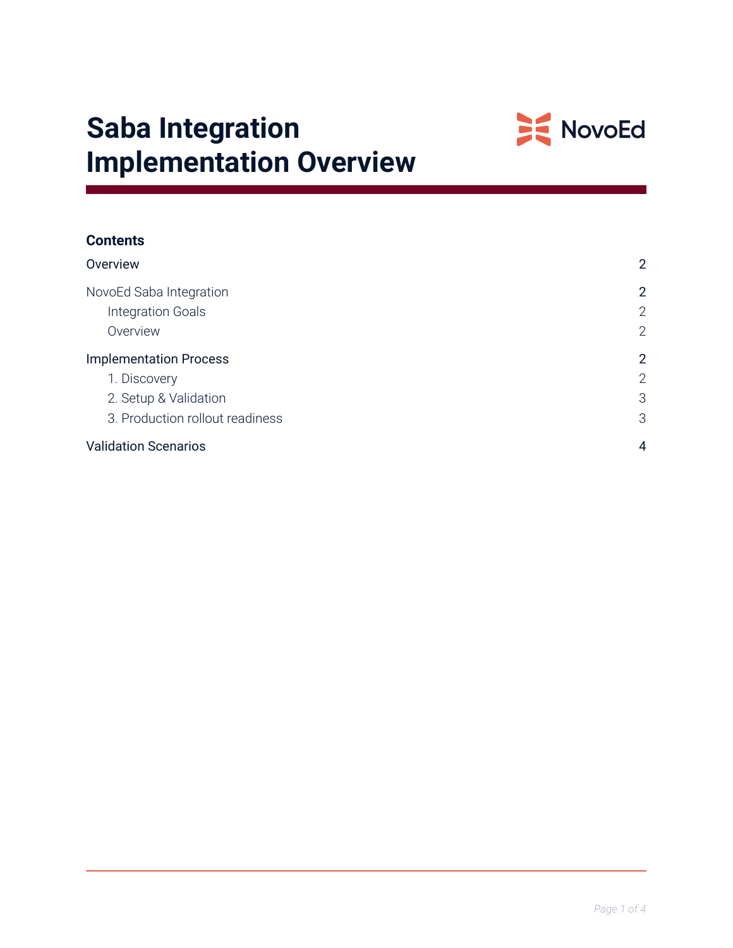

# **Saba Integration Implementation Overview**

| <b>Contents</b>                 |                |  |  |
|---------------------------------|----------------|--|--|
| Overview                        | $\overline{2}$ |  |  |
| NovoEd Saba Integration         | $\overline{2}$ |  |  |
| Integration Goals               | $\overline{2}$ |  |  |
| Overview                        | $\overline{2}$ |  |  |
| <b>Implementation Process</b>   | $\overline{2}$ |  |  |
| 1. Discovery                    | $\overline{2}$ |  |  |
| 2. Setup & Validation           | 3              |  |  |
| 3. Production rollout readiness | 3              |  |  |
| <b>Validation Scenarios</b>     | 4              |  |  |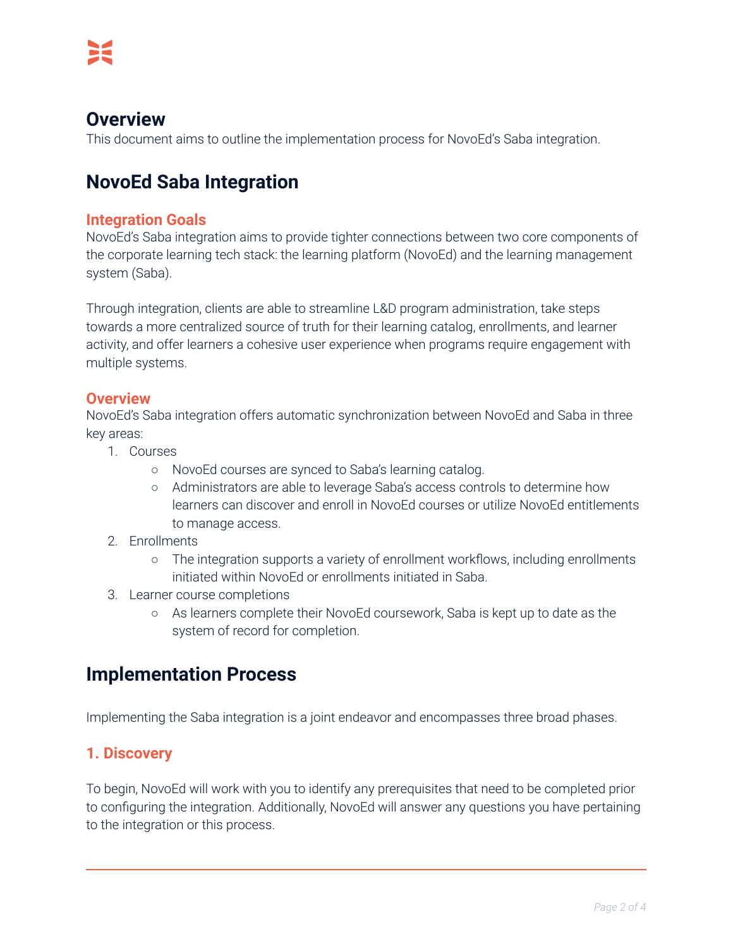## <span id="page-1-0"></span>**Overview**

<span id="page-1-1"></span>This document aims to outline the implementation process for NovoEd's Saba integration.

## **NovoEd Saba Integration**

#### <span id="page-1-2"></span>**Integration Goals**

NovoEd's Saba integration aims to provide tighter connections between two core components of the corporate learning tech stack: the learning platform (NovoEd) and the learning management system (Saba).

Through integration, clients are able to streamline L&D program administration, take steps towards a more centralized source of truth for their learning catalog, enrollments, and learner activity, and offer learners a cohesive user experience when programs require engagement with multiple systems.

#### <span id="page-1-3"></span>**Overview**

NovoEd's Saba integration offers automatic synchronization between NovoEd and Saba in three key areas:

- 1. Courses
	- NovoEd courses are synced to Saba's learning catalog.
	- Administrators are able to leverage Saba's access controls to determine how learners can discover and enroll in NovoEd courses or utilize NovoEd entitlements to manage access.
- 2. Enrollments
	- The integration supports a variety of enrollment workflows, including enrollments initiated within NovoEd or enrollments initiated in Saba.
- 3. Learner course completions
	- As learners complete their NovoEd coursework, Saba is kept up to date as the system of record for completion.

## <span id="page-1-4"></span>**Implementation Process**

Implementing the Saba integration is a joint endeavor and encompasses three broad phases.

### <span id="page-1-5"></span>**1. Discovery**

To begin, NovoEd will work with you to identify any prerequisites that need to be completed prior to configuring the integration. Additionally, NovoEd will answer any questions you have pertaining to the integration or this process.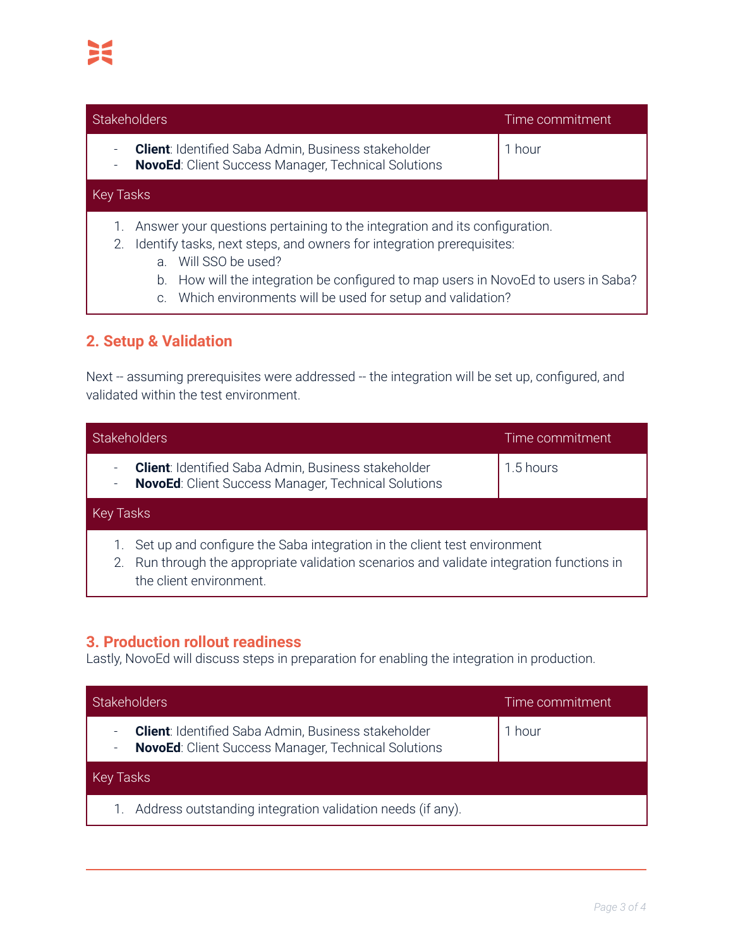| <b>Stakeholders</b>                                                                                                                                                                                                                                                                                                                                          | Time commitment |
|--------------------------------------------------------------------------------------------------------------------------------------------------------------------------------------------------------------------------------------------------------------------------------------------------------------------------------------------------------------|-----------------|
| <b>Client:</b> Identified Saba Admin, Business stakeholder<br><b>NovoEd:</b> Client Success Manager, Technical Solutions                                                                                                                                                                                                                                     | 1 hour          |
| Key Tasks                                                                                                                                                                                                                                                                                                                                                    |                 |
| Answer your questions pertaining to the integration and its configuration.<br>Identify tasks, next steps, and owners for integration prerequisites:<br>2.<br>Will SSO be used?<br>$\mathsf{a}$ .<br>How will the integration be configured to map users in NovoEd to users in Saba?<br>b.<br>Which environments will be used for setup and validation?<br>C. |                 |

## **2. Setup & Validation**

<span id="page-2-0"></span>Next -- assuming prerequisites were addressed -- the integration will be set up, configured, and validated within the test environment.

|                                                      | <b>Stakeholders</b>                                                                                                                                                                              | Time commitment |
|------------------------------------------------------|--------------------------------------------------------------------------------------------------------------------------------------------------------------------------------------------------|-----------------|
| $\overline{\phantom{a}}$<br>$\overline{\phantom{a}}$ | <b>Client:</b> Identified Saba Admin, Business stakeholder<br><b>NovoEd:</b> Client Success Manager, Technical Solutions                                                                         | 1.5 hours       |
| Key Tasks                                            |                                                                                                                                                                                                  |                 |
|                                                      | Set up and configure the Saba integration in the client test environment<br>2. Run through the appropriate validation scenarios and validate integration functions in<br>the client environment. |                 |

## <span id="page-2-1"></span>**3. Production rollout readiness**

Lastly, NovoEd will discuss steps in preparation for enabling the integration in production.

| Stakeholders                                                                                                             | Time commitment |
|--------------------------------------------------------------------------------------------------------------------------|-----------------|
| <b>Client:</b> Identified Saba Admin, Business stakeholder<br><b>NovoEd:</b> Client Success Manager, Technical Solutions | hour            |
| Key Tasks                                                                                                                |                 |
| Address outstanding integration validation needs (if any).                                                               |                 |